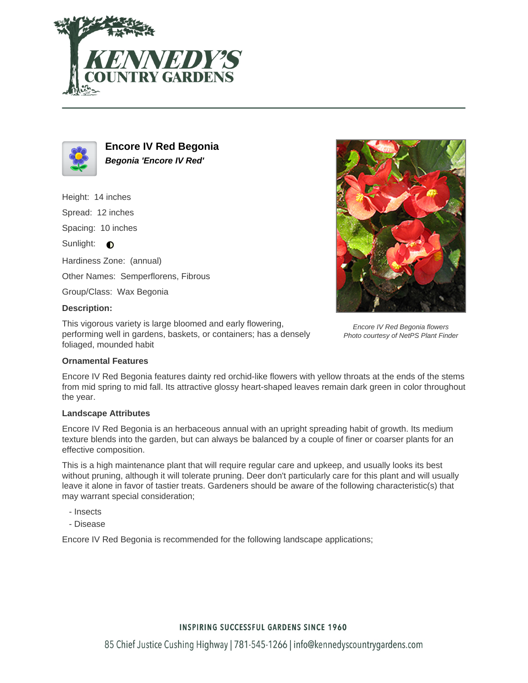



**Encore IV Red Begonia Begonia 'Encore IV Red'**

Height: 14 inches Spread: 12 inches Spacing: 10 inches Sunlight:  $\bigcirc$ Hardiness Zone: (annual) Other Names: Semperflorens, Fibrous Group/Class: Wax Begonia

Encore IV Red Begonia flowers Photo courtesy of NetPS Plant Finder

This vigorous variety is large bloomed and early flowering, performing well in gardens, baskets, or containers; has a densely foliaged, mounded habit

# **Ornamental Features**

**Description:**

Encore IV Red Begonia features dainty red orchid-like flowers with yellow throats at the ends of the stems from mid spring to mid fall. Its attractive glossy heart-shaped leaves remain dark green in color throughout the year.

### **Landscape Attributes**

Encore IV Red Begonia is an herbaceous annual with an upright spreading habit of growth. Its medium texture blends into the garden, but can always be balanced by a couple of finer or coarser plants for an effective composition.

This is a high maintenance plant that will require regular care and upkeep, and usually looks its best without pruning, although it will tolerate pruning. Deer don't particularly care for this plant and will usually leave it alone in favor of tastier treats. Gardeners should be aware of the following characteristic(s) that may warrant special consideration;

- Insects
- Disease

Encore IV Red Begonia is recommended for the following landscape applications;

# **INSPIRING SUCCESSFUL GARDENS SINCE 1960**

85 Chief Justice Cushing Highway | 781-545-1266 | info@kennedyscountrygardens.com